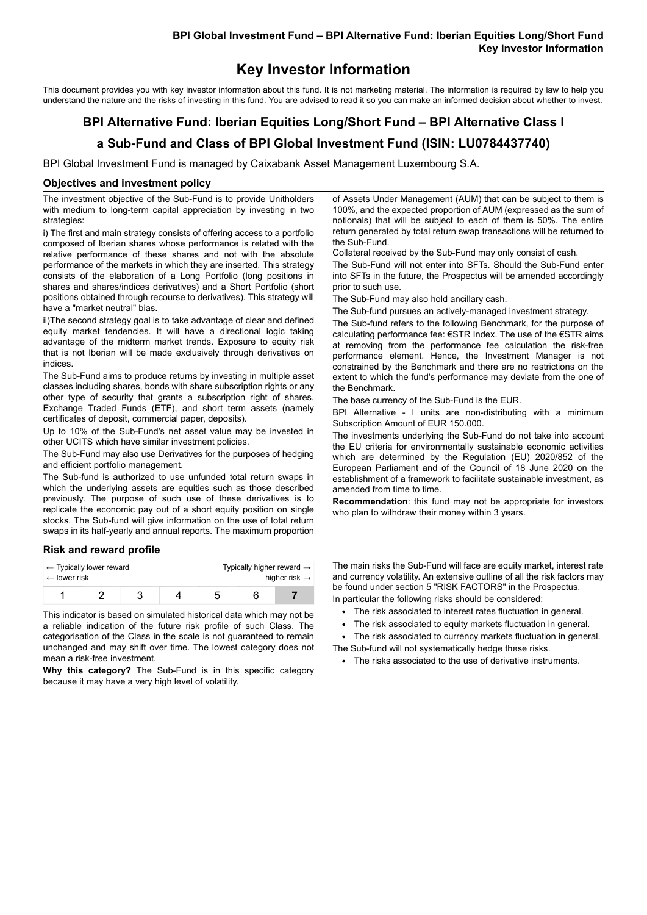## **BPI Global Investment Fund – BPI Alternative Fund: Iberian Equities Long/Short Fund Key Investor Information**

# **Key Investor Information**

This document provides you with key investor information about this fund. It is not marketing material. The information is required by law to help you understand the nature and the risks of investing in this fund. You are advised to read it so you can make an informed decision about whether to invest.

# **BPI Alternative Fund: Iberian Equities Long/Short Fund – BPI Alternative Class I**

# **a Sub-Fund and Class of BPI Global Investment Fund (ISIN: LU0784437740)**

BPI Global Investment Fund is managed by Caixabank Asset Management Luxembourg S.A.

#### **Objectives and investment policy**

The investment objective of the Sub-Fund is to provide Unitholders with medium to long-term capital appreciation by investing in two strategies:

i) The first and main strategy consists of offering access to a portfolio composed of Iberian shares whose performance is related with the relative performance of these shares and not with the absolute performance of the markets in which they are inserted. This strategy consists of the elaboration of a Long Portfolio (long positions in shares and shares/indices derivatives) and a Short Portfolio (short positions obtained through recourse to derivatives). This strategy will have a "market neutral" bias.

ii)The second strategy goal is to take advantage of clear and defined equity market tendencies. It will have a directional logic taking advantage of the midterm market trends. Exposure to equity risk that is not Iberian will be made exclusively through derivatives on indices.

The Sub-Fund aims to produce returns by investing in multiple asset classes including shares, bonds with share subscription rights or any other type of security that grants a subscription right of shares, Exchange Traded Funds (ETF), and short term assets (namely certificates of deposit, commercial paper, deposits).

Up to 10% of the Sub-Fund's net asset value may be invested in other UCITS which have similar investment policies.

The Sub-Fund may also use Derivatives for the purposes of hedging and efficient portfolio management.

The Sub-fund is authorized to use unfunded total return swaps in which the underlying assets are equities such as those described previously. The purpose of such use of these derivatives is to replicate the economic pay out of a short equity position on single stocks. The Sub-fund will give information on the use of total return swaps in its half-yearly and annual reports. The maximum proportion

of Assets Under Management (AUM) that can be subject to them is 100%, and the expected proportion of AUM (expressed as the sum of notionals) that will be subject to each of them is 50%. The entire return generated by total return swap transactions will be returned to the Sub-Fund.

Collateral received by the Sub-Fund may only consist of cash.

The Sub-Fund will not enter into SFTs. Should the Sub-Fund enter into SFTs in the future, the Prospectus will be amended accordingly prior to such use.

The Sub-Fund may also hold ancillary cash.

The Sub-fund pursues an actively-managed investment strategy.

The Sub-fund refers to the following Benchmark, for the purpose of calculating performance fee: €STR Index. The use of the €STR aims at removing from the performance fee calculation the risk-free performance element. Hence, the Investment Manager is not constrained by the Benchmark and there are no restrictions on the extent to which the fund's performance may deviate from the one of the Benchmark.

The base currency of the Sub-Fund is the EUR.

BPI Alternative - I units are non-distributing with a minimum Subscription Amount of EUR 150.000.

The investments underlying the Sub-Fund do not take into account the EU criteria for environmentally sustainable economic activities which are determined by the Regulation (EU) 2020/852 of the European Parliament and of the Council of 18 June 2020 on the establishment of a framework to facilitate sustainable investment, as amended from time to time.

**Recommendation**: this fund may not be appropriate for investors who plan to withdraw their money within 3 years.

# **Risk and reward profile**

| $\leftarrow$ Typically lower reward |  |  |  | Typically higher reward $\rightarrow$ |  |  |
|-------------------------------------|--|--|--|---------------------------------------|--|--|
| $\leftarrow$ lower risk             |  |  |  | higher risk $\rightarrow$             |  |  |
|                                     |  |  |  | Ð                                     |  |  |

This indicator is based on simulated historical data which may not be a reliable indication of the future risk profile of such Class. The categorisation of the Class in the scale is not guaranteed to remain unchanged and may shift over time. The lowest category does not mean a risk-free investment.

**Why this category?** The Sub-Fund is in this specific category because it may have a very high level of volatility.

The main risks the Sub-Fund will face are equity market, interest rate and currency volatility. An extensive outline of all the risk factors may be found under section 5 "RISK FACTORS" in the Prospectus.

In particular the following risks should be considered:

- The risk associated to interest rates fluctuation in general.
- The risk associated to equity markets fluctuation in general.
- The risk associated to currency markets fluctuation in general. The Sub-fund will not systematically hedge these risks.
	- The risks associated to the use of derivative instruments.